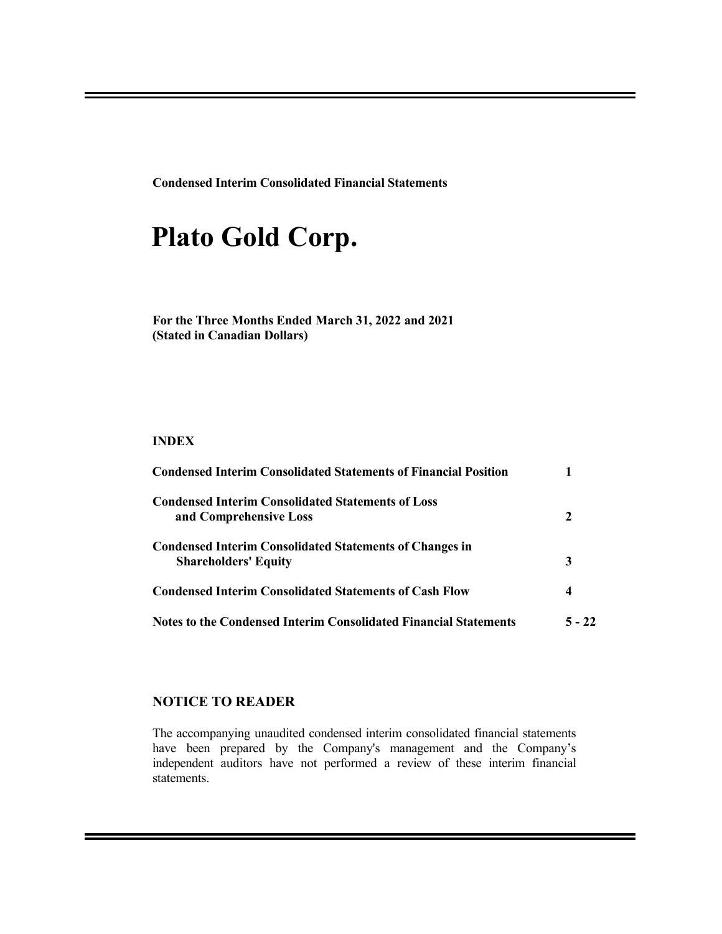**Condensed Interim Consolidated Financial Statements**

# **Plato Gold Corp.**

**For the Three Months Ended March 31, 2022 and 2021 (Stated in Canadian Dollars)**

### **INDEX**

| <b>Condensed Interim Consolidated Statements of Financial Position</b>                        |          |
|-----------------------------------------------------------------------------------------------|----------|
| <b>Condensed Interim Consolidated Statements of Loss</b>                                      |          |
| and Comprehensive Loss                                                                        | 2        |
| <b>Condensed Interim Consolidated Statements of Changes in</b><br><b>Shareholders' Equity</b> | 3        |
| <b>Condensed Interim Consolidated Statements of Cash Flow</b>                                 | 4        |
| <b>Notes to the Condensed Interim Consolidated Financial Statements</b>                       | $5 - 22$ |

### **NOTICE TO READER**

The accompanying unaudited condensed interim consolidated financial statements have been prepared by the Company's management and the Company's independent auditors have not performed a review of these interim financial statements.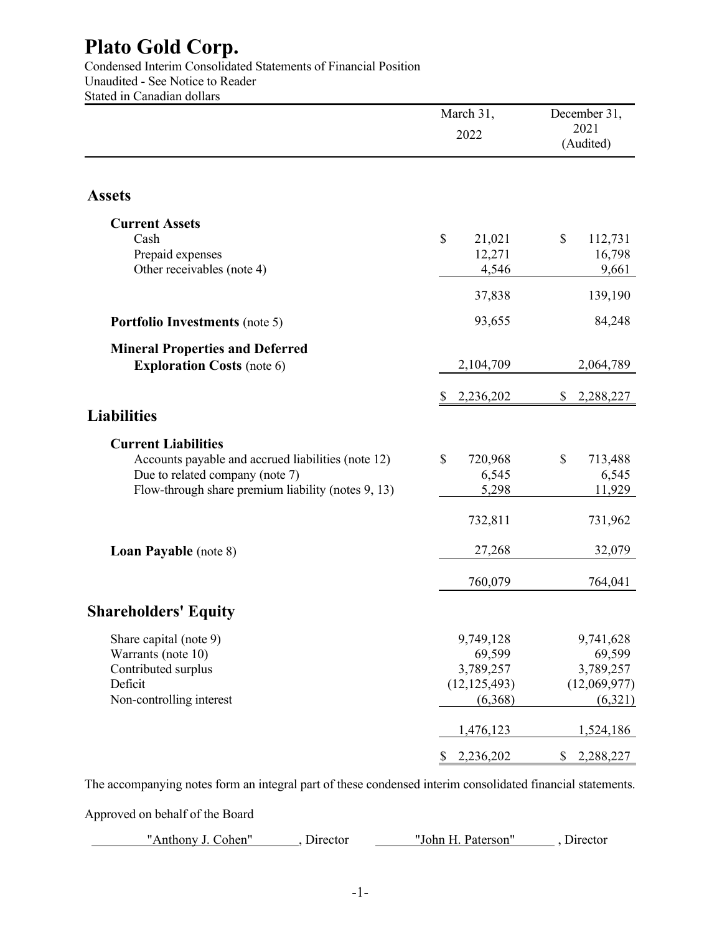Condensed Interim Consolidated Statements of Financial Position Unaudited - See Notice to Reader Stated in Canadian dollars

|                                                    | March 31,<br>2022 | December 31,<br>2021<br>(Audited) |
|----------------------------------------------------|-------------------|-----------------------------------|
|                                                    |                   |                                   |
| <b>Assets</b>                                      |                   |                                   |
| <b>Current Assets</b>                              |                   |                                   |
| Cash                                               | \$<br>21,021      | \$<br>112,731                     |
| Prepaid expenses                                   | 12,271            | 16,798                            |
| Other receivables (note 4)                         | 4,546             | 9,661                             |
|                                                    | 37,838            | 139,190                           |
| <b>Portfolio Investments</b> (note 5)              | 93,655            | 84,248                            |
| <b>Mineral Properties and Deferred</b>             |                   |                                   |
| <b>Exploration Costs (note 6)</b>                  | 2,104,709         | 2,064,789                         |
|                                                    | 2,236,202<br>S    | 2,288,227<br>S                    |
| <b>Liabilities</b>                                 |                   |                                   |
| <b>Current Liabilities</b>                         |                   |                                   |
| Accounts payable and accrued liabilities (note 12) | \$<br>720,968     | \$<br>713,488                     |
| Due to related company (note 7)                    | 6,545             | 6,545                             |
| Flow-through share premium liability (notes 9, 13) | 5,298             | 11,929                            |
|                                                    | 732,811           | 731,962                           |
| <b>Loan Payable</b> (note 8)                       | 27,268            | 32,079                            |
|                                                    | 760,079           | 764,041                           |
| <b>Shareholders' Equity</b>                        |                   |                                   |
| Share capital (note 9)                             | 9,749,128         | 9,741,628                         |
| Warrants (note 10)                                 | 69,599            | 69,599                            |
| Contributed surplus                                | 3,789,257         | 3,789,257                         |
| Deficit                                            | (12, 125, 493)    | (12,069,977)                      |
| Non-controlling interest                           | (6,368)           | (6,321)                           |
|                                                    | 1,476,123         | 1,524,186                         |
|                                                    | 2,236,202<br>\$   | 2,288,227<br>\$                   |

The accompanying notes form an integral part of these condensed interim consolidated financial statements.

Approved on behalf of the Board

"Anthony J. Cohen", Director [100] Uphin H. Paterson", Director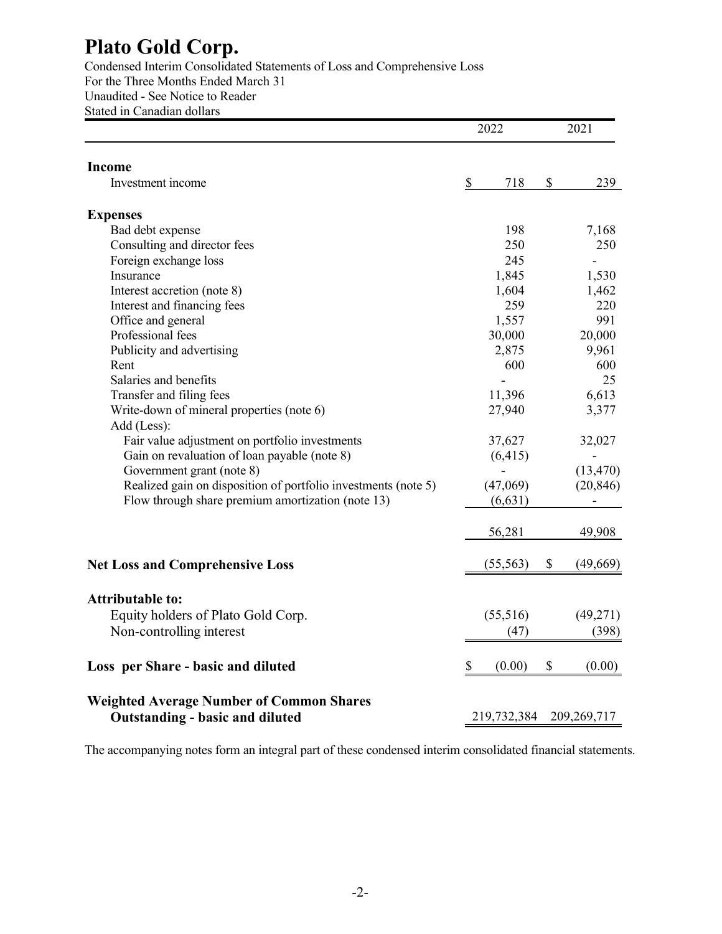Condensed Interim Consolidated Statements of Loss and Comprehensive Loss For the Three Months Ended March 31 Unaudited - See Notice to Reader Stated in Canadian dollars

| <b>Income</b><br>\$<br>Investment income<br><b>Expenses</b>    | 718<br>198<br>250<br>245 | \$<br>239<br>7,168 |
|----------------------------------------------------------------|--------------------------|--------------------|
|                                                                |                          |                    |
|                                                                |                          |                    |
|                                                                |                          |                    |
| Bad debt expense                                               |                          |                    |
| Consulting and director fees                                   |                          | 250                |
| Foreign exchange loss                                          |                          |                    |
| Insurance                                                      | 1,845                    | 1,530              |
| Interest accretion (note 8)                                    | 1,604                    | 1,462              |
| Interest and financing fees                                    | 259                      | 220                |
| Office and general                                             | 1,557                    | 991                |
| Professional fees                                              | 30,000                   | 20,000             |
| Publicity and advertising                                      | 2,875                    | 9,961              |
| Rent                                                           | 600                      | 600                |
| Salaries and benefits                                          |                          | 25                 |
| Transfer and filing fees                                       | 11,396                   | 6,613              |
| Write-down of mineral properties (note 6)                      | 27,940                   | 3,377              |
| Add (Less):                                                    |                          |                    |
| Fair value adjustment on portfolio investments                 | 37,627                   | 32,027             |
| Gain on revaluation of loan payable (note 8)                   | (6, 415)                 |                    |
| Government grant (note 8)                                      |                          | (13, 470)          |
| Realized gain on disposition of portfolio investments (note 5) | (47,069)                 | (20, 846)          |
| Flow through share premium amortization (note 13)              | (6, 631)                 |                    |
|                                                                | 56,281                   | 49,908             |
| <b>Net Loss and Comprehensive Loss</b>                         | (55, 563)                | \$<br>(49, 669)    |
|                                                                |                          |                    |
| <b>Attributable to:</b>                                        |                          |                    |
| Equity holders of Plato Gold Corp.                             | (55,516)                 | (49, 271)          |
| Non-controlling interest                                       | (47)                     | (398)              |
| Loss per Share - basic and diluted<br>\$                       | (0.00)                   | \$<br>(0.00)       |
| <b>Weighted Average Number of Common Shares</b>                |                          |                    |
| <b>Outstanding - basic and diluted</b>                         | 219,732,384              | 209, 269, 717      |

The accompanying notes form an integral part of these condensed interim consolidated financial statements.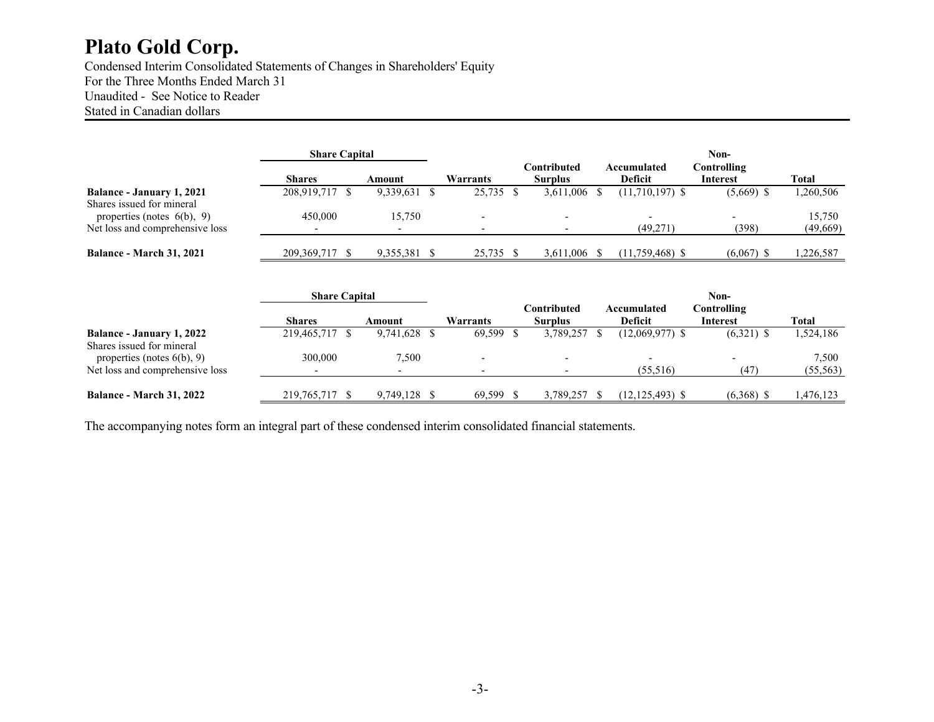Condensed Interim Consolidated Statements of Changes in Shareholders' Equity For the Three Months Ended March 31 Unaudited - See Notice to Reader Stated in Canadian dollars

|                                                            | <b>Share Capital</b> |           |           |                               |                        | Non-                    |           |
|------------------------------------------------------------|----------------------|-----------|-----------|-------------------------------|------------------------|-------------------------|-----------|
|                                                            | <b>Shares</b>        | Amount    | Warrants  | Contributed<br><b>Surplus</b> | Accumulated<br>Deficit | Controlling<br>Interest | Total     |
| <b>Balance - January 1, 2021</b>                           | 208,919,717 \$       | 9,339,631 | 25,735 \$ | 3,611,006                     | $(11,710,197)$ \$      | $(5,669)$ \$            | 1,260,506 |
| Shares issued for mineral<br>properties (notes $6(b)$ , 9) | 450,000              | 15.750    |           |                               |                        |                         | 15,750    |
| Net loss and comprehensive loss                            |                      |           |           |                               | (49,271)               | (398)                   | (49,669)  |
| <b>Balance - March 31, 2021</b>                            | 209, 369, 717 \$     | 9,355,381 | 25,735 \$ | 3,611,006                     | $(11,759,468)$ \$      | $(6,067)$ \$            | ,226,587  |

|                                                        | <b>Share Capital</b> |           |          |                               |                               |                         |           |
|--------------------------------------------------------|----------------------|-----------|----------|-------------------------------|-------------------------------|-------------------------|-----------|
|                                                        | <b>Shares</b>        | Amount    | Warrants | Contributed<br><b>Surplus</b> | Accumulated<br><b>Deficit</b> | Controlling<br>Interest | Total     |
| Balance - January 1, 2022<br>Shares issued for mineral | 219,465,717 \$       | 9,741,628 | 69,599   | 3,789,257                     | $(12,069,977)$ \$             | $(6,321)$ \$            | 1,524,186 |
| properties (notes $6(b)$ , 9)                          | 300,000              | 7.500     |          |                               | (55,516)                      | (47)                    | 7,500     |
| Net loss and comprehensive loss                        |                      |           |          |                               |                               |                         | (55, 563) |
| <b>Balance - March 31, 2022</b>                        | 219,765,717 \$       | 9,749,128 | 69,599   | 3,789,257                     | $(12, 125, 493)$ \$           | $(6,368)$ \$            | 1,476,123 |

The accompanying notes form an integral part of these condensed interim consolidated financial statements.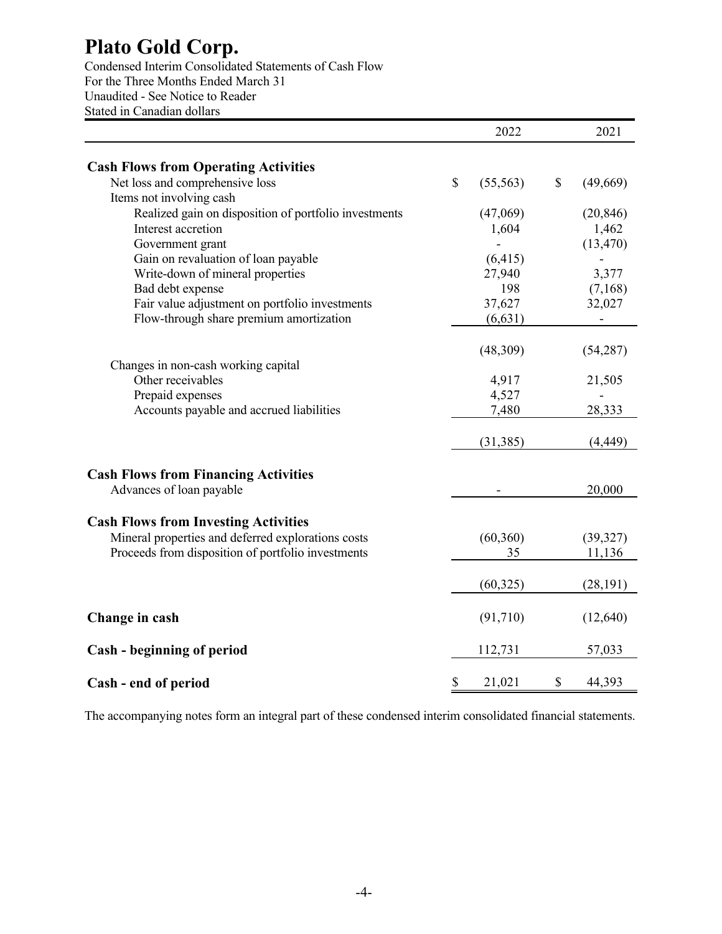Condensed Interim Consolidated Statements of Cash Flow For the Three Months Ended March 31 Unaudited - See Notice to Reader Stated in Canadian dollars

|                                                       | 2022            | 2021           |
|-------------------------------------------------------|-----------------|----------------|
| <b>Cash Flows from Operating Activities</b>           |                 |                |
| Net loss and comprehensive loss                       | \$<br>(55, 563) | \$<br>(49,669) |
| Items not involving cash                              |                 |                |
| Realized gain on disposition of portfolio investments | (47,069)        | (20, 846)      |
| Interest accretion                                    | 1,604           | 1,462          |
| Government grant                                      |                 | (13, 470)      |
| Gain on revaluation of loan payable                   | (6, 415)        |                |
| Write-down of mineral properties                      | 27,940          | 3,377          |
| Bad debt expense                                      | 198             | (7,168)        |
| Fair value adjustment on portfolio investments        | 37,627          | 32,027         |
| Flow-through share premium amortization               | (6, 631)        |                |
|                                                       | (48,309)        | (54, 287)      |
| Changes in non-cash working capital                   |                 |                |
| Other receivables                                     | 4,917           | 21,505         |
| Prepaid expenses                                      | 4,527           |                |
| Accounts payable and accrued liabilities              | 7,480           | 28,333         |
|                                                       | (31, 385)       | (4, 449)       |
| <b>Cash Flows from Financing Activities</b>           |                 |                |
| Advances of loan payable                              |                 | 20,000         |
| <b>Cash Flows from Investing Activities</b>           |                 |                |
| Mineral properties and deferred explorations costs    | (60, 360)       | (39, 327)      |
| Proceeds from disposition of portfolio investments    | 35              | 11,136         |
|                                                       | (60,325)        | (28, 191)      |
|                                                       |                 |                |
| Change in cash                                        | (91,710)        | (12, 640)      |
| Cash - beginning of period                            | 112,731         | 57,033         |
| Cash - end of period                                  | \$<br>21,021    | \$<br>44,393   |

The accompanying notes form an integral part of these condensed interim consolidated financial statements.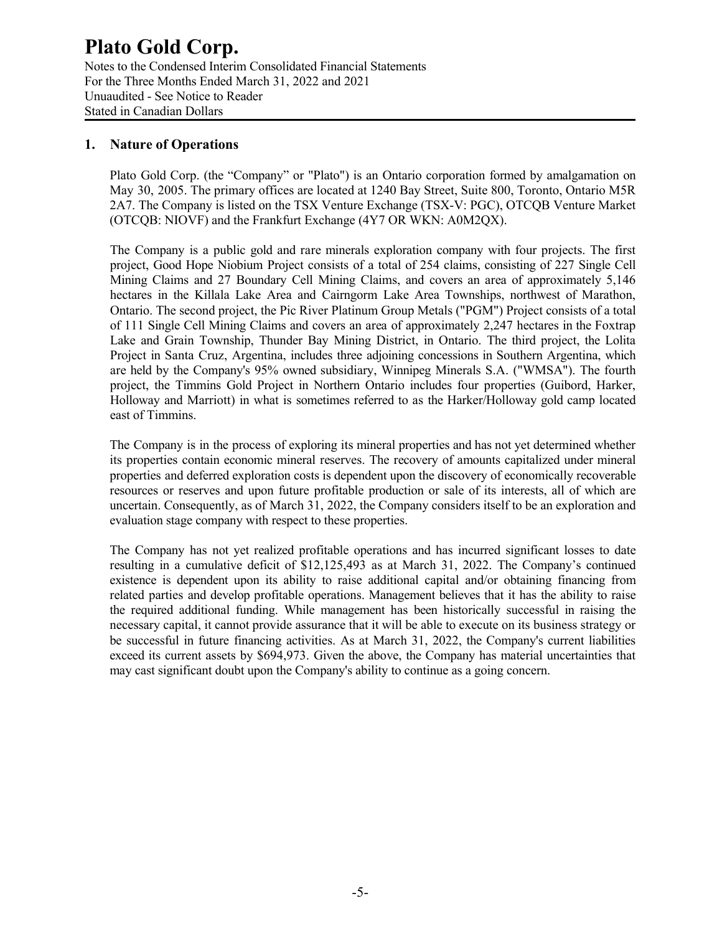Notes to the Condensed Interim Consolidated Financial Statements For the Three Months Ended March 31, 2022 and 2021 Unuaudited - See Notice to Reader Stated in Canadian Dollars

### **1. Nature of Operations**

Plato Gold Corp. (the "Company" or "Plato") is an Ontario corporation formed by amalgamation on May 30, 2005. The primary offices are located at 1240 Bay Street, Suite 800, Toronto, Ontario M5R 2A7. The Company is listed on the TSX Venture Exchange (TSX-V: PGC), OTCQB Venture Market (OTCQB: NIOVF) and the Frankfurt Exchange (4Y7 OR WKN: A0M2QX).

The Company is a public gold and rare minerals exploration company with four projects. The first project, Good Hope Niobium Project consists of a total of 254 claims, consisting of 227 Single Cell Mining Claims and 27 Boundary Cell Mining Claims, and covers an area of approximately 5,146 hectares in the Killala Lake Area and Cairngorm Lake Area Townships, northwest of Marathon, Ontario. The second project, the Pic River Platinum Group Metals ("PGM") Project consists of a total of 111 Single Cell Mining Claims and covers an area of approximately 2,247 hectares in the Foxtrap Lake and Grain Township, Thunder Bay Mining District, in Ontario. The third project, the Lolita Project in Santa Cruz, Argentina, includes three adjoining concessions in Southern Argentina, which are held by the Company's 95% owned subsidiary, Winnipeg Minerals S.A. ("WMSA"). The fourth project, the Timmins Gold Project in Northern Ontario includes four properties (Guibord, Harker, Holloway and Marriott) in what is sometimes referred to as the Harker/Holloway gold camp located east of Timmins.

The Company is in the process of exploring its mineral properties and has not yet determined whether its properties contain economic mineral reserves. The recovery of amounts capitalized under mineral properties and deferred exploration costs is dependent upon the discovery of economically recoverable resources or reserves and upon future profitable production or sale of its interests, all of which are uncertain. Consequently, as of March 31, 2022, the Company considers itself to be an exploration and evaluation stage company with respect to these properties.

The Company has not yet realized profitable operations and has incurred significant losses to date resulting in a cumulative deficit of \$12,125,493 as at March 31, 2022. The Company's continued existence is dependent upon its ability to raise additional capital and/or obtaining financing from related parties and develop profitable operations. Management believes that it has the ability to raise the required additional funding. While management has been historically successful in raising the necessary capital, it cannot provide assurance that it will be able to execute on its business strategy or be successful in future financing activities. As at March 31, 2022, the Company's current liabilities exceed its current assets by \$694,973. Given the above, the Company has material uncertainties that may cast significant doubt upon the Company's ability to continue as a going concern.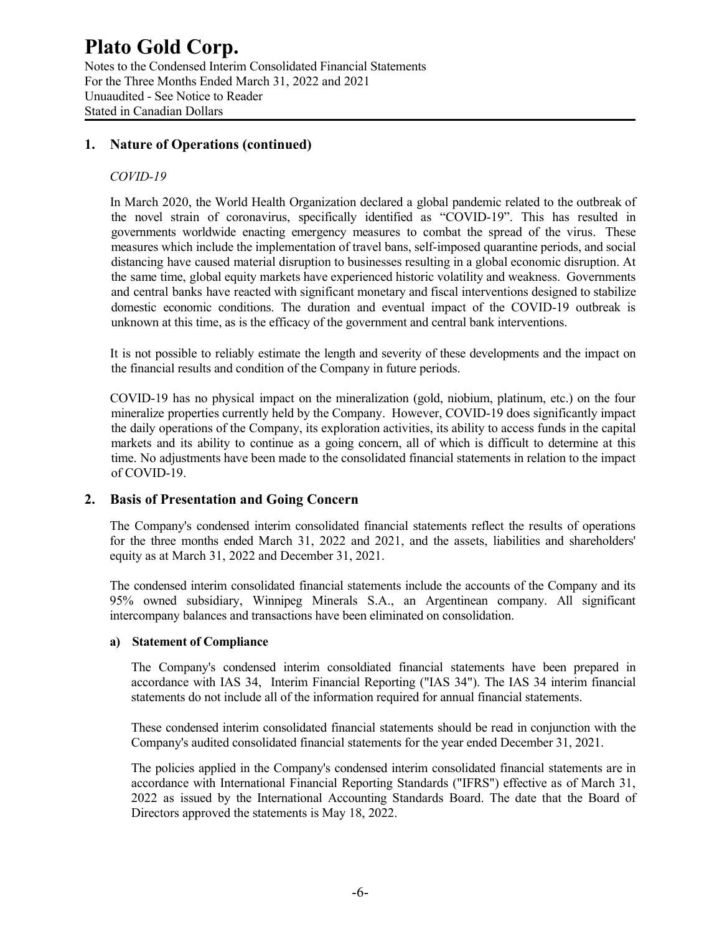Notes to the Condensed Interim Consolidated Financial Statements For the Three Months Ended March 31, 2022 and 2021 Unuaudited - See Notice to Reader Stated in Canadian Dollars

### **1. Nature of Operations (continued)**

### *COVID-19*

In March 2020, the World Health Organization declared a global pandemic related to the outbreak of the novel strain of coronavirus, specifically identified as "COVID-19". This has resulted in governments worldwide enacting emergency measures to combat the spread of the virus. These measures which include the implementation of travel bans, self-imposed quarantine periods, and social distancing have caused material disruption to businesses resulting in a global economic disruption. At the same time, global equity markets have experienced historic volatility and weakness. Governments and central banks have reacted with significant monetary and fiscal interventions designed to stabilize domestic economic conditions. The duration and eventual impact of the COVID-19 outbreak is unknown at this time, as is the efficacy of the government and central bank interventions.

It is not possible to reliably estimate the length and severity of these developments and the impact on the financial results and condition of the Company in future periods.

COVID-19 has no physical impact on the mineralization (gold, niobium, platinum, etc.) on the four mineralize properties currently held by the Company. However, COVID-19 does significantly impact the daily operations of the Company, its exploration activities, its ability to access funds in the capital markets and its ability to continue as a going concern, all of which is difficult to determine at this time. No adjustments have been made to the consolidated financial statements in relation to the impact of COVID-19.

### **2. Basis of Presentation and Going Concern**

The Company's condensed interim consolidated financial statements reflect the results of operations for the three months ended March 31, 2022 and 2021, and the assets, liabilities and shareholders' equity as at March 31, 2022 and December 31, 2021.

The condensed interim consolidated financial statements include the accounts of the Company and its 95% owned subsidiary, Winnipeg Minerals S.A., an Argentinean company. All significant intercompany balances and transactions have been eliminated on consolidation.

#### **a) Statement of Compliance**

The Company's condensed interim consoldiated financial statements have been prepared in accordance with IAS 34, Interim Financial Reporting ("IAS 34"). The IAS 34 interim financial statements do not include all of the information required for annual financial statements.

These condensed interim consolidated financial statements should be read in conjunction with the Company's audited consolidated financial statements for the year ended December 31, 2021.

The policies applied in the Company's condensed interim consolidated financial statements are in accordance with International Financial Reporting Standards ("IFRS") effective as of March 31, 2022 as issued by the International Accounting Standards Board. The date that the Board of Directors approved the statements is May 18, 2022.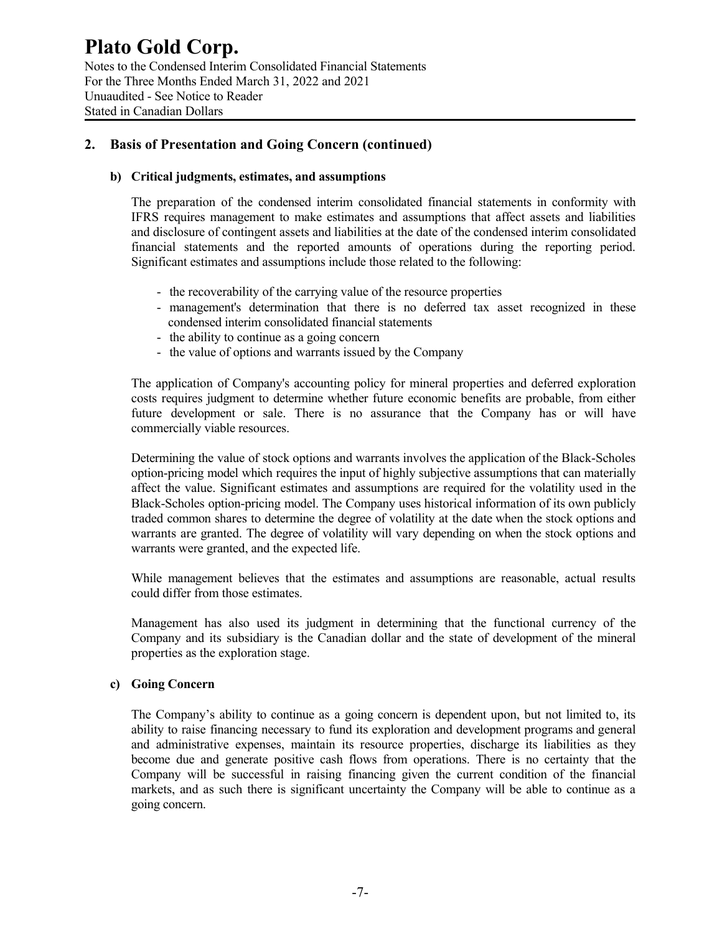Notes to the Condensed Interim Consolidated Financial Statements For the Three Months Ended March 31, 2022 and 2021 Unuaudited - See Notice to Reader Stated in Canadian Dollars

### **2. Basis of Presentation and Going Concern (continued)**

### **b) Critical judgments, estimates, and assumptions**

The preparation of the condensed interim consolidated financial statements in conformity with IFRS requires management to make estimates and assumptions that affect assets and liabilities and disclosure of contingent assets and liabilities at the date of the condensed interim consolidated financial statements and the reported amounts of operations during the reporting period. Significant estimates and assumptions include those related to the following:

- the recoverability of the carrying value of the resource properties
- management's determination that there is no deferred tax asset recognized in these condensed interim consolidated financial statements
- the ability to continue as a going concern
- the value of options and warrants issued by the Company

The application of Company's accounting policy for mineral properties and deferred exploration costs requires judgment to determine whether future economic benefits are probable, from either future development or sale. There is no assurance that the Company has or will have commercially viable resources.

Determining the value of stock options and warrants involves the application of the Black-Scholes option-pricing model which requires the input of highly subjective assumptions that can materially affect the value. Significant estimates and assumptions are required for the volatility used in the Black-Scholes option-pricing model. The Company uses historical information of its own publicly traded common shares to determine the degree of volatility at the date when the stock options and warrants are granted. The degree of volatility will vary depending on when the stock options and warrants were granted, and the expected life.

While management believes that the estimates and assumptions are reasonable, actual results could differ from those estimates.

Management has also used its judgment in determining that the functional currency of the Company and its subsidiary is the Canadian dollar and the state of development of the mineral properties as the exploration stage.

### **c) Going Concern**

The Company's ability to continue as a going concern is dependent upon, but not limited to, its ability to raise financing necessary to fund its exploration and development programs and general and administrative expenses, maintain its resource properties, discharge its liabilities as they become due and generate positive cash flows from operations. There is no certainty that the Company will be successful in raising financing given the current condition of the financial markets, and as such there is significant uncertainty the Company will be able to continue as a going concern.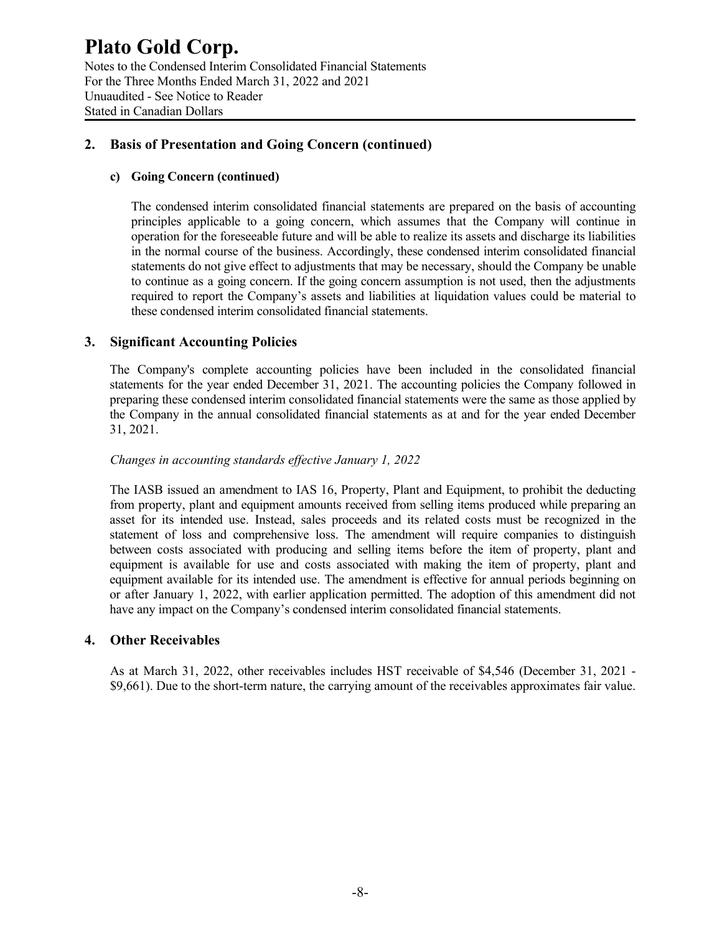Notes to the Condensed Interim Consolidated Financial Statements For the Three Months Ended March 31, 2022 and 2021 Unuaudited - See Notice to Reader Stated in Canadian Dollars

### **2. Basis of Presentation and Going Concern (continued)**

### **c) Going Concern (continued)**

The condensed interim consolidated financial statements are prepared on the basis of accounting principles applicable to a going concern, which assumes that the Company will continue in operation for the foreseeable future and will be able to realize its assets and discharge its liabilities in the normal course of the business. Accordingly, these condensed interim consolidated financial statements do not give effect to adjustments that may be necessary, should the Company be unable to continue as a going concern. If the going concern assumption is not used, then the adjustments required to report the Company's assets and liabilities at liquidation values could be material to these condensed interim consolidated financial statements.

### **3. Significant Accounting Policies**

The Company's complete accounting policies have been included in the consolidated financial statements for the year ended December 31, 2021. The accounting policies the Company followed in preparing these condensed interim consolidated financial statements were the same as those applied by the Company in the annual consolidated financial statements as at and for the year ended December 31, 2021.

### *Changes in accounting standards effective January 1, 2022*

The IASB issued an amendment to IAS 16, Property, Plant and Equipment, to prohibit the deducting from property, plant and equipment amounts received from selling items produced while preparing an asset for its intended use. Instead, sales proceeds and its related costs must be recognized in the statement of loss and comprehensive loss. The amendment will require companies to distinguish between costs associated with producing and selling items before the item of property, plant and equipment is available for use and costs associated with making the item of property, plant and equipment available for its intended use. The amendment is effective for annual periods beginning on or after January 1, 2022, with earlier application permitted. The adoption of this amendment did not have any impact on the Company's condensed interim consolidated financial statements.

### **4. Other Receivables**

As at March 31, 2022, other receivables includes HST receivable of \$4,546 (December 31, 2021 - \$9,661). Due to the short-term nature, the carrying amount of the receivables approximates fair value.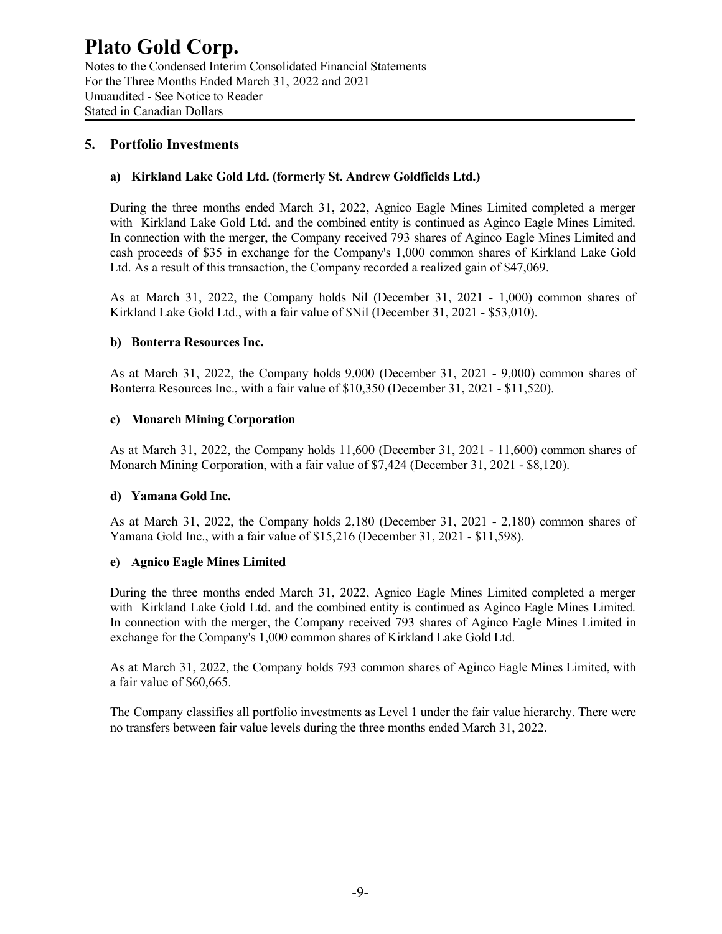Notes to the Condensed Interim Consolidated Financial Statements For the Three Months Ended March 31, 2022 and 2021 Unuaudited - See Notice to Reader Stated in Canadian Dollars

### **5. Portfolio Investments**

### **a) Kirkland Lake Gold Ltd. (formerly St. Andrew Goldfields Ltd.)**

During the three months ended March 31, 2022, Agnico Eagle Mines Limited completed a merger with Kirkland Lake Gold Ltd. and the combined entity is continued as Aginco Eagle Mines Limited. In connection with the merger, the Company received 793 shares of Aginco Eagle Mines Limited and cash proceeds of \$35 in exchange for the Company's 1,000 common shares of Kirkland Lake Gold Ltd. As a result of this transaction, the Company recorded a realized gain of \$47,069.

As at March 31, 2022, the Company holds Nil (December 31, 2021 - 1,000) common shares of Kirkland Lake Gold Ltd., with a fair value of \$Nil (December 31, 2021 - \$53,010).

### **b) Bonterra Resources Inc.**

As at March 31, 2022, the Company holds 9,000 (December 31, 2021 - 9,000) common shares of Bonterra Resources Inc., with a fair value of \$10,350 (December 31, 2021 - \$11,520).

### **c) Monarch Mining Corporation**

As at March 31, 2022, the Company holds 11,600 (December 31, 2021 - 11,600) common shares of Monarch Mining Corporation, with a fair value of \$7,424 (December 31, 2021 - \$8,120).

### **d) Yamana Gold Inc.**

As at March 31, 2022, the Company holds 2,180 (December 31, 2021 - 2,180) common shares of Yamana Gold Inc., with a fair value of \$15,216 (December 31, 2021 - \$11,598).

### **e) Agnico Eagle Mines Limited**

During the three months ended March 31, 2022, Agnico Eagle Mines Limited completed a merger with Kirkland Lake Gold Ltd. and the combined entity is continued as Aginco Eagle Mines Limited. In connection with the merger, the Company received 793 shares of Aginco Eagle Mines Limited in exchange for the Company's 1,000 common shares of Kirkland Lake Gold Ltd.

As at March 31, 2022, the Company holds 793 common shares of Aginco Eagle Mines Limited, with a fair value of \$60,665.

The Company classifies all portfolio investments as Level 1 under the fair value hierarchy. There were no transfers between fair value levels during the three months ended March 31, 2022.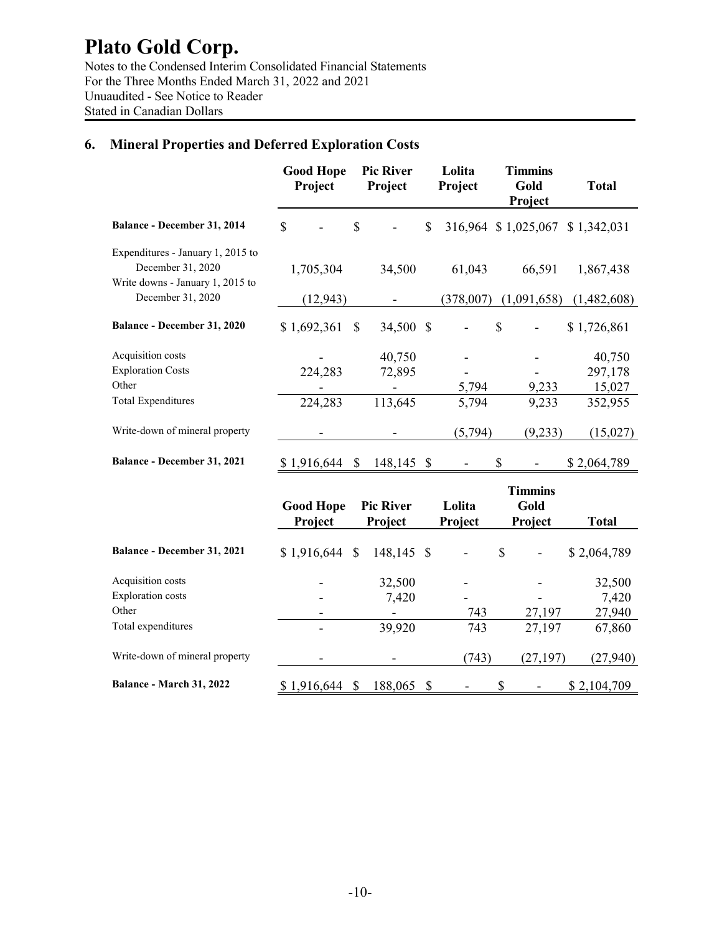Notes to the Condensed Interim Consolidated Financial Statements For the Three Months Ended March 31, 2022 and 2021 Unuaudited - See Notice to Reader Stated in Canadian Dollars

### **6. Mineral Properties and Deferred Exploration Costs**

|                                                                                            | <b>Good Hope</b><br>Project | <b>Pic River</b><br>Project |                                     | Lolita<br>Project | <b>Timmins</b><br>Gold<br>Project | <b>Total</b> |
|--------------------------------------------------------------------------------------------|-----------------------------|-----------------------------|-------------------------------------|-------------------|-----------------------------------|--------------|
| Balance - December 31, 2014                                                                | $\mathbf S$                 | \$                          | \$                                  |                   | 316,964 \$1,025,067               | \$1,342,031  |
| Expenditures - January 1, 2015 to<br>December 31, 2020<br>Write downs - January 1, 2015 to | 1,705,304                   |                             | 34,500                              | 61,043            | 66,591                            | 1,867,438    |
| December 31, 2020                                                                          | (12, 943)                   |                             |                                     | (378,007)         | (1,091,658)                       | (1,482,608)  |
| Balance - December 31, 2020                                                                | \$1,692,361                 | S                           | 34,500<br>$\boldsymbol{\mathsf{S}}$ |                   | \$                                | \$1,726,861  |
| Acquisition costs                                                                          |                             |                             | 40,750                              |                   |                                   | 40,750       |
| <b>Exploration Costs</b>                                                                   | 224,283                     |                             | 72,895                              |                   |                                   | 297,178      |
| Other                                                                                      |                             |                             |                                     | 5,794             | 9,233                             | 15,027       |
| <b>Total Expenditures</b>                                                                  | 224,283                     | 113,645                     |                                     | 5,794             | 9,233                             | 352,955      |
| Write-down of mineral property                                                             |                             |                             |                                     | (5,794)           | (9,233)                           | (15,027)     |
| Balance - December 31, 2021                                                                | \$1,916,644                 | \$                          | 148,145<br>- \$                     |                   | \$                                | \$2,064,789  |
|                                                                                            | <b>Good Hope</b><br>Project | <b>Pic River</b><br>Project |                                     | Lolita<br>Project | <b>Timmins</b><br>Gold<br>Project | <b>Total</b> |
| Balance - December 31, 2021                                                                | $$1,916,644$ \\$            | 148,145                     | $\mathcal{S}$                       |                   | \$                                | \$2,064,789  |
| Acquisition costs                                                                          |                             |                             | 32,500                              |                   |                                   | 32,500       |
| <b>Exploration</b> costs                                                                   |                             |                             | 7,420                               |                   |                                   | 7,420        |
| Other                                                                                      |                             |                             |                                     | 743               | 27,197                            | 27,940       |
| Total expenditures                                                                         |                             |                             | 39,920                              | 743               | 27,197                            | 67,860       |

Write-down of mineral property **-** (743) (27,197) (27,940)

**Balance - March 31, 2022** \$ 1,916,644 \$ 188,065 \$ - \$ 2,104,709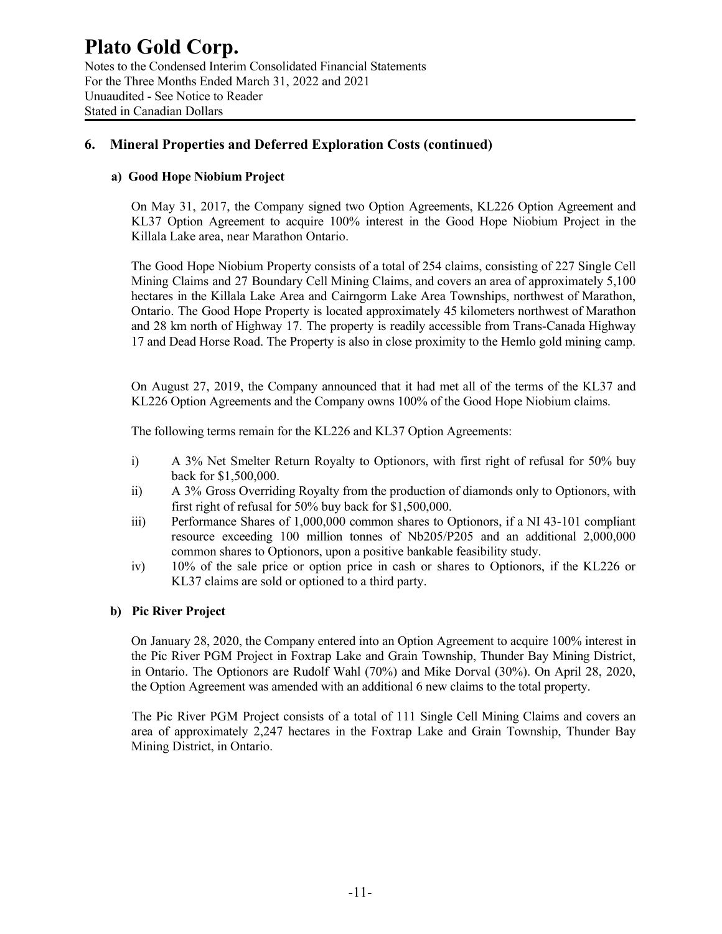### **Plato Gold Corp.** Notes to the Condensed Interim Consolidated Financial Statements For the Three Months Ended March 31, 2022 and 2021 Unuaudited - See Notice to Reader

Stated in Canadian Dollars

### **6. Mineral Properties and Deferred Exploration Costs (continued)**

### **a) Good Hope Niobium Project**

On May 31, 2017, the Company signed two Option Agreements, KL226 Option Agreement and KL37 Option Agreement to acquire 100% interest in the Good Hope Niobium Project in the Killala Lake area, near Marathon Ontario.

The Good Hope Niobium Property consists of a total of 254 claims, consisting of 227 Single Cell Mining Claims and 27 Boundary Cell Mining Claims, and covers an area of approximately 5,100 hectares in the Killala Lake Area and Cairngorm Lake Area Townships, northwest of Marathon, Ontario. The Good Hope Property is located approximately 45 kilometers northwest of Marathon and 28 km north of Highway 17. The property is readily accessible from Trans-Canada Highway 17 and Dead Horse Road. The Property is also in close proximity to the Hemlo gold mining camp.

On August 27, 2019, the Company announced that it had met all of the terms of the KL37 and KL226 Option Agreements and the Company owns 100% of the Good Hope Niobium claims.

The following terms remain for the KL226 and KL37 Option Agreements:

- i) A 3% Net Smelter Return Royalty to Optionors, with first right of refusal for 50% buy back for \$1,500,000.
- ii) A 3% Gross Overriding Royalty from the production of diamonds only to Optionors, with first right of refusal for 50% buy back for \$1,500,000.
- iii) Performance Shares of 1,000,000 common shares to Optionors, if a NI 43-101 compliant resource exceeding 100 million tonnes of Nb205/P205 and an additional 2,000,000 common shares to Optionors, upon a positive bankable feasibility study.
- iv) 10% of the sale price or option price in cash or shares to Optionors, if the KL226 or KL37 claims are sold or optioned to a third party.

### **b) Pic River Project**

On January 28, 2020, the Company entered into an Option Agreement to acquire 100% interest in the Pic River PGM Project in Foxtrap Lake and Grain Township, Thunder Bay Mining District, in Ontario. The Optionors are Rudolf Wahl (70%) and Mike Dorval (30%). On April 28, 2020, the Option Agreement was amended with an additional 6 new claims to the total property.

The Pic River PGM Project consists of a total of 111 Single Cell Mining Claims and covers an area of approximately 2,247 hectares in the Foxtrap Lake and Grain Township, Thunder Bay Mining District, in Ontario.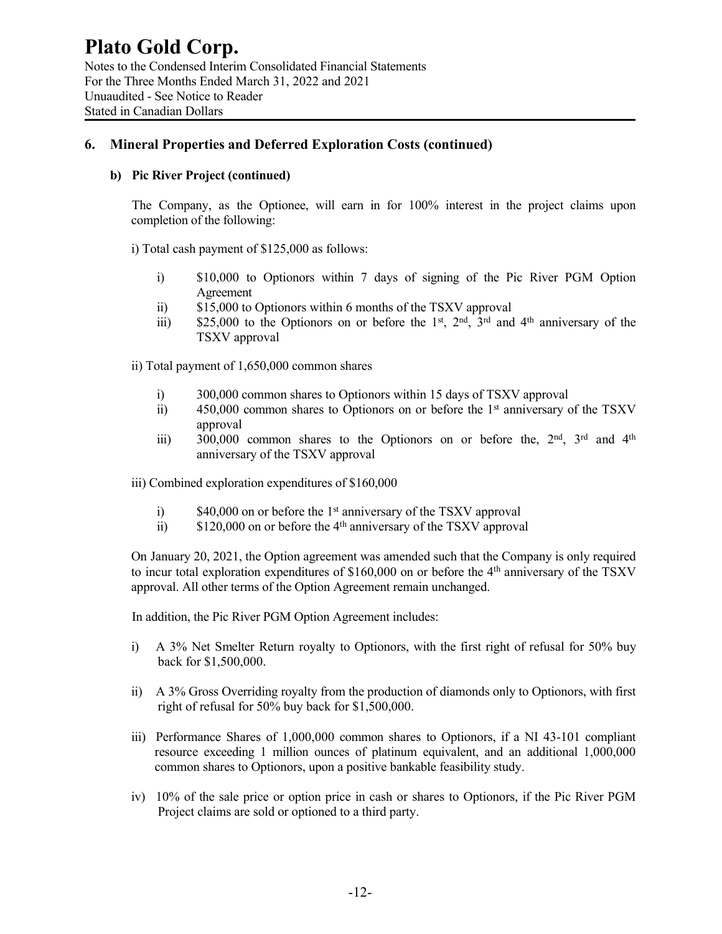### **6. Mineral Properties and Deferred Exploration Costs (continued)**

### **b) Pic River Project (continued)**

The Company, as the Optionee, will earn in for 100% interest in the project claims upon completion of the following:

i) Total cash payment of \$125,000 as follows:

- i) \$10,000 to Optionors within 7 days of signing of the Pic River PGM Option Agreement
- ii) \$15,000 to Optionors within 6 months of the TSXV approval
- iii)  $$25,000$  to the Optionors on or before the 1<sup>st</sup>, 2<sup>nd</sup>, 3<sup>rd</sup> and 4<sup>th</sup> anniversary of the TSXV approval

ii) Total payment of 1,650,000 common shares

- i) 300,000 common shares to Optionors within 15 days of TSXV approval
- ii) 450,000 common shares to Optionors on or before the 1<sup>st</sup> anniversary of the TSXV approval
- iii) 300,000 common shares to the Optionors on or before the,  $2<sup>nd</sup>$ ,  $3<sup>rd</sup>$  and  $4<sup>th</sup>$ anniversary of the TSXV approval

iii) Combined exploration expenditures of \$160,000

- i)  $$40,000$  on or before the 1<sup>st</sup> anniversary of the TSXV approval
- ii)  $$120,000$  on or before the 4<sup>th</sup> anniversary of the TSXV approval

On January 20, 2021, the Option agreement was amended such that the Company is only required to incur total exploration expenditures of \$160,000 on or before the 4<sup>th</sup> anniversary of the TSXV approval. All other terms of the Option Agreement remain unchanged.

In addition, the Pic River PGM Option Agreement includes:

- i) A 3% Net Smelter Return royalty to Optionors, with the first right of refusal for 50% buy back for \$1,500,000.
- ii) A 3% Gross Overriding royalty from the production of diamonds only to Optionors, with first right of refusal for 50% buy back for \$1,500,000.
- iii) Performance Shares of 1,000,000 common shares to Optionors, if a NI 43-101 compliant resource exceeding 1 million ounces of platinum equivalent, and an additional 1,000,000 common shares to Optionors, upon a positive bankable feasibility study.
- iv) 10% of the sale price or option price in cash or shares to Optionors, if the Pic River PGM Project claims are sold or optioned to a third party.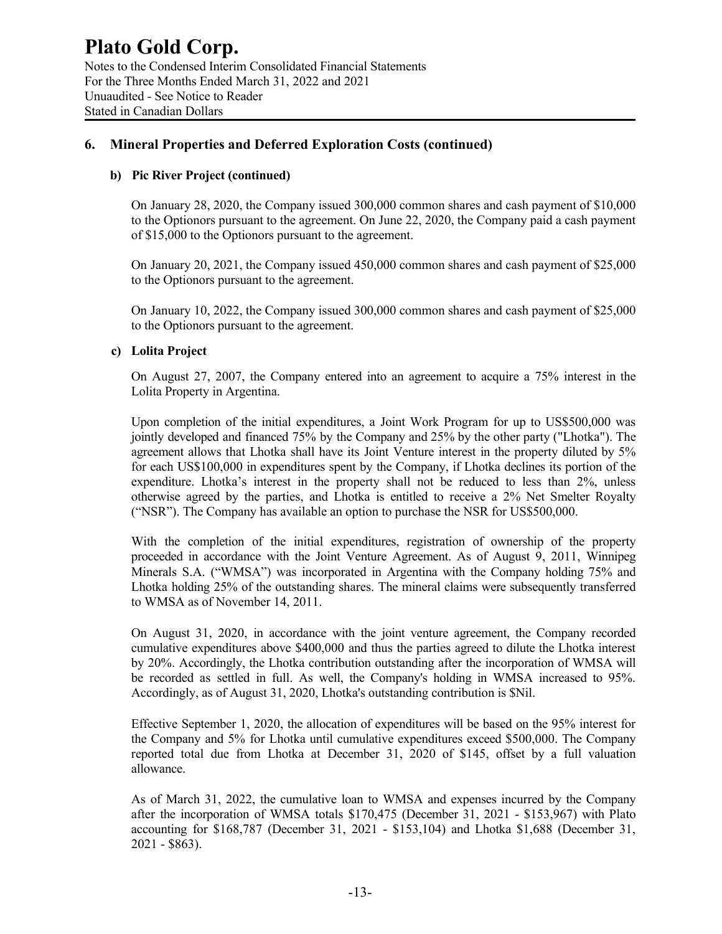### **Plato Gold Corp.** Notes to the Condensed Interim Consolidated Financial Statements

For the Three Months Ended March 31, 2022 and 2021 Unuaudited - See Notice to Reader Stated in Canadian Dollars

### **6. Mineral Properties and Deferred Exploration Costs (continued)**

### **b) Pic River Project (continued)**

On January 28, 2020, the Company issued 300,000 common shares and cash payment of \$10,000 to the Optionors pursuant to the agreement. On June 22, 2020, the Company paid a cash payment of \$15,000 to the Optionors pursuant to the agreement.

On January 20, 2021, the Company issued 450,000 common shares and cash payment of \$25,000 to the Optionors pursuant to the agreement.

On January 10, 2022, the Company issued 300,000 common shares and cash payment of \$25,000 to the Optionors pursuant to the agreement.

### **c) Lolita Project**

On August 27, 2007, the Company entered into an agreement to acquire a 75% interest in the Lolita Property in Argentina.

Upon completion of the initial expenditures, a Joint Work Program for up to US\$500,000 was jointly developed and financed 75% by the Company and 25% by the other party ("Lhotka"). The agreement allows that Lhotka shall have its Joint Venture interest in the property diluted by 5% for each US\$100,000 in expenditures spent by the Company, if Lhotka declines its portion of the expenditure. Lhotka's interest in the property shall not be reduced to less than 2%, unless otherwise agreed by the parties, and Lhotka is entitled to receive a 2% Net Smelter Royalty ("NSR"). The Company has available an option to purchase the NSR for US\$500,000.

With the completion of the initial expenditures, registration of ownership of the property proceeded in accordance with the Joint Venture Agreement. As of August 9, 2011, Winnipeg Minerals S.A. ("WMSA") was incorporated in Argentina with the Company holding 75% and Lhotka holding 25% of the outstanding shares. The mineral claims were subsequently transferred to WMSA as of November 14, 2011.

On August 31, 2020, in accordance with the joint venture agreement, the Company recorded cumulative expenditures above \$400,000 and thus the parties agreed to dilute the Lhotka interest by 20%. Accordingly, the Lhotka contribution outstanding after the incorporation of WMSA will be recorded as settled in full. As well, the Company's holding in WMSA increased to 95%. Accordingly, as of August 31, 2020, Lhotka's outstanding contribution is \$Nil.

Effective September 1, 2020, the allocation of expenditures will be based on the 95% interest for the Company and 5% for Lhotka until cumulative expenditures exceed \$500,000. The Company reported total due from Lhotka at December 31, 2020 of \$145, offset by a full valuation allowance.

As of March 31, 2022, the cumulative loan to WMSA and expenses incurred by the Company after the incorporation of WMSA totals \$170,475 (December 31, 2021 - \$153,967) with Plato accounting for \$168,787 (December 31, 2021 - \$153,104) and Lhotka \$1,688 (December 31, 2021 - \$863).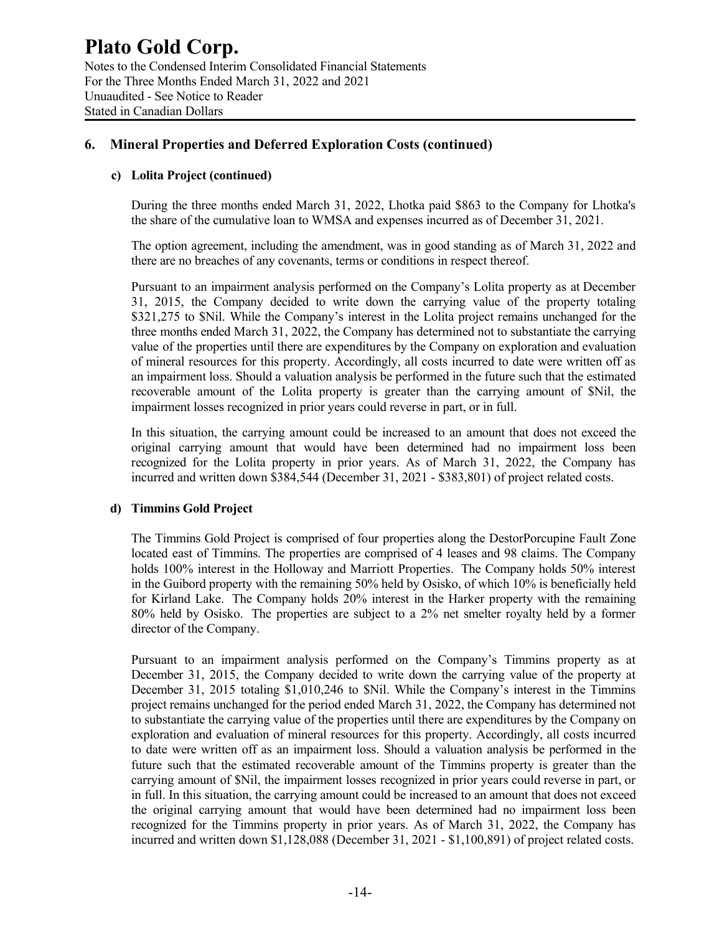### **6. Mineral Properties and Deferred Exploration Costs (continued)**

### **c) Lolita Project (continued)**

During the three months ended March 31, 2022, Lhotka paid \$863 to the Company for Lhotka's the share of the cumulative loan to WMSA and expenses incurred as of December 31, 2021.

The option agreement, including the amendment, was in good standing as of March 31, 2022 and there are no breaches of any covenants, terms or conditions in respect thereof.

Pursuant to an impairment analysis performed on the Company's Lolita property as at December 31, 2015, the Company decided to write down the carrying value of the property totaling \$321,275 to \$Nil. While the Company's interest in the Lolita project remains unchanged for the three months ended March 31, 2022, the Company has determined not to substantiate the carrying value of the properties until there are expenditures by the Company on exploration and evaluation of mineral resources for this property. Accordingly, all costs incurred to date were written off as an impairment loss. Should a valuation analysis be performed in the future such that the estimated recoverable amount of the Lolita property is greater than the carrying amount of \$Nil, the impairment losses recognized in prior years could reverse in part, or in full.

In this situation, the carrying amount could be increased to an amount that does not exceed the original carrying amount that would have been determined had no impairment loss been recognized for the Lolita property in prior years. As of March 31, 2022, the Company has incurred and written down \$384,544 (December 31, 2021 - \$383,801) of project related costs.

### **d) Timmins Gold Project**

The Timmins Gold Project is comprised of four properties along the DestorPorcupine Fault Zone located east of Timmins. The properties are comprised of 4 leases and 98 claims. The Company holds 100% interest in the Holloway and Marriott Properties. The Company holds 50% interest in the Guibord property with the remaining 50% held by Osisko, of which 10% is beneficially held for Kirland Lake. The Company holds 20% interest in the Harker property with the remaining 80% held by Osisko. The properties are subject to a 2% net smelter royalty held by a former director of the Company.

Pursuant to an impairment analysis performed on the Company's Timmins property as at December 31, 2015, the Company decided to write down the carrying value of the property at December 31, 2015 totaling \$1,010,246 to \$Nil. While the Company's interest in the Timmins project remains unchanged for the period ended March 31, 2022, the Company has determined not to substantiate the carrying value of the properties until there are expenditures by the Company on exploration and evaluation of mineral resources for this property. Accordingly, all costs incurred to date were written off as an impairment loss. Should a valuation analysis be performed in the future such that the estimated recoverable amount of the Timmins property is greater than the carrying amount of \$Nil, the impairment losses recognized in prior years could reverse in part, or in full. In this situation, the carrying amount could be increased to an amount that does not exceed the original carrying amount that would have been determined had no impairment loss been recognized for the Timmins property in prior years. As of March 31, 2022, the Company has incurred and written down \$1,128,088 (December 31, 2021 - \$1,100,891) of project related costs.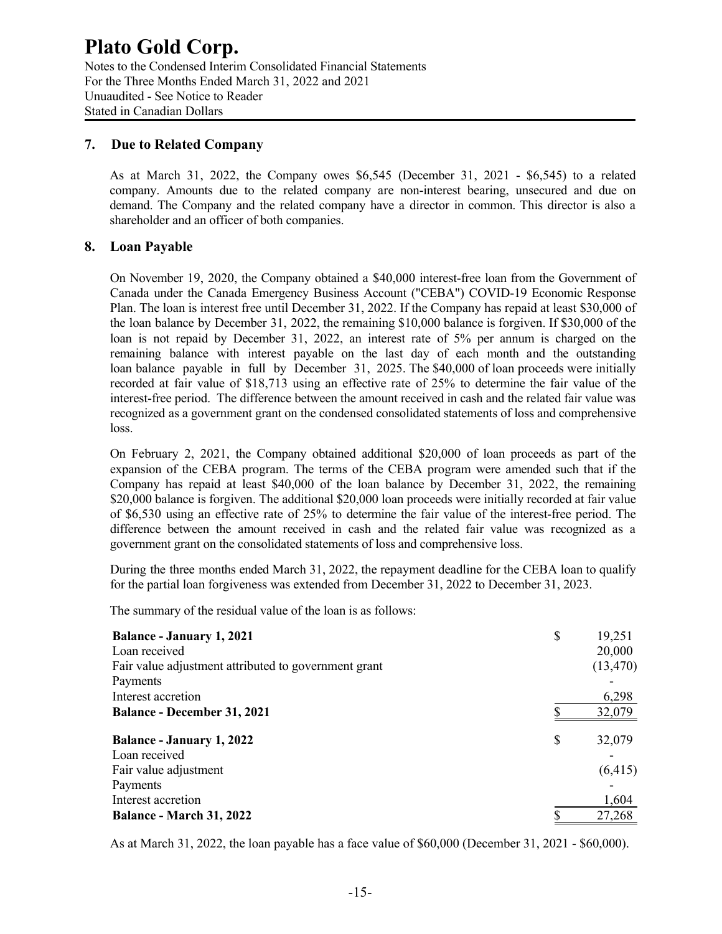Notes to the Condensed Interim Consolidated Financial Statements For the Three Months Ended March 31, 2022 and 2021 Unuaudited - See Notice to Reader Stated in Canadian Dollars

### **7. Due to Related Company**

As at March 31, 2022, the Company owes \$6,545 (December 31, 2021 - \$6,545) to a related company. Amounts due to the related company are non-interest bearing, unsecured and due on demand. The Company and the related company have a director in common. This director is also a shareholder and an officer of both companies.

### **8. Loan Payable**

On November 19, 2020, the Company obtained a \$40,000 interest-free loan from the Government of Canada under the Canada Emergency Business Account ("CEBA") COVID-19 Economic Response Plan. The loan is interest free until December 31, 2022. If the Company has repaid at least \$30,000 of the loan balance by December 31, 2022, the remaining \$10,000 balance is forgiven. If \$30,000 of the loan is not repaid by December 31, 2022, an interest rate of 5% per annum is charged on the remaining balance with interest payable on the last day of each month and the outstanding loan balance payable in full by December 31, 2025. The \$40,000 of loan proceeds were initially recorded at fair value of \$18,713 using an effective rate of 25% to determine the fair value of the interest-free period. The difference between the amount received in cash and the related fair value was recognized as a government grant on the condensed consolidated statements of loss and comprehensive loss.

On February 2, 2021, the Company obtained additional \$20,000 of loan proceeds as part of the expansion of the CEBA program. The terms of the CEBA program were amended such that if the Company has repaid at least \$40,000 of the loan balance by December 31, 2022, the remaining \$20,000 balance is forgiven. The additional \$20,000 loan proceeds were initially recorded at fair value of \$6,530 using an effective rate of 25% to determine the fair value of the interest-free period. The difference between the amount received in cash and the related fair value was recognized as a government grant on the consolidated statements of loss and comprehensive loss.

During the three months ended March 31, 2022, the repayment deadline for the CEBA loan to qualify for the partial loan forgiveness was extended from December 31, 2022 to December 31, 2023.

The summary of the residual value of the loan is as follows:

| <b>Balance - January 1, 2021</b>                     | \$ | 19,251    |
|------------------------------------------------------|----|-----------|
| Loan received                                        |    | 20,000    |
| Fair value adjustment attributed to government grant |    | (13, 470) |
| Payments                                             |    |           |
| Interest accretion                                   |    | 6,298     |
| <b>Balance - December 31, 2021</b>                   |    | 32,079    |
| <b>Balance - January 1, 2022</b>                     | S  | 32,079    |
| Loan received                                        |    |           |
| Fair value adjustment                                |    | (6, 415)  |
| Payments                                             |    |           |
| Interest accretion                                   |    | 1,604     |
| <b>Balance - March 31, 2022</b>                      |    | 27,268    |

As at March 31, 2022, the loan payable has a face value of \$60,000 (December 31, 2021 - \$60,000).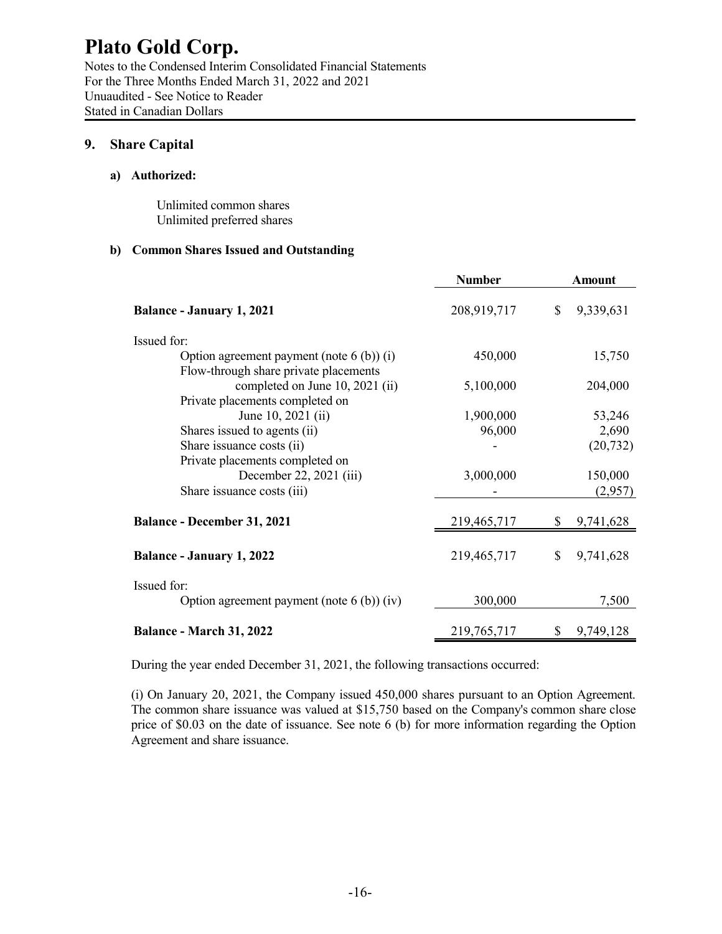Notes to the Condensed Interim Consolidated Financial Statements For the Three Months Ended March 31, 2022 and 2021 Unuaudited - See Notice to Reader Stated in Canadian Dollars

### **9. Share Capital**

### **a) Authorized:**

Unlimited common shares Unlimited preferred shares

### **b) Common Shares Issued and Outstanding**

| <b>Number</b> |                            | Amount    |  |
|---------------|----------------------------|-----------|--|
| 208,919,717   | $\mathbb{S}$               | 9,339,631 |  |
|               |                            |           |  |
| 450,000       |                            | 15,750    |  |
|               |                            |           |  |
| 5,100,000     |                            | 204,000   |  |
|               |                            |           |  |
| 1,900,000     |                            | 53,246    |  |
| 96,000        |                            | 2,690     |  |
|               |                            | (20, 732) |  |
|               |                            |           |  |
|               |                            | 150,000   |  |
|               |                            | (2,957)   |  |
| 219,465,717   |                            | 9,741,628 |  |
| 219,465,717   | \$                         | 9,741,628 |  |
|               |                            |           |  |
| 300,000       |                            | 7,500     |  |
|               |                            | 9,749,128 |  |
|               | 3,000,000<br>219, 765, 717 |           |  |

During the year ended December 31, 2021, the following transactions occurred:

(i) On January 20, 2021, the Company issued 450,000 shares pursuant to an Option Agreement. The common share issuance was valued at \$15,750 based on the Company's common share close price of \$0.03 on the date of issuance. See note 6 (b) for more information regarding the Option Agreement and share issuance.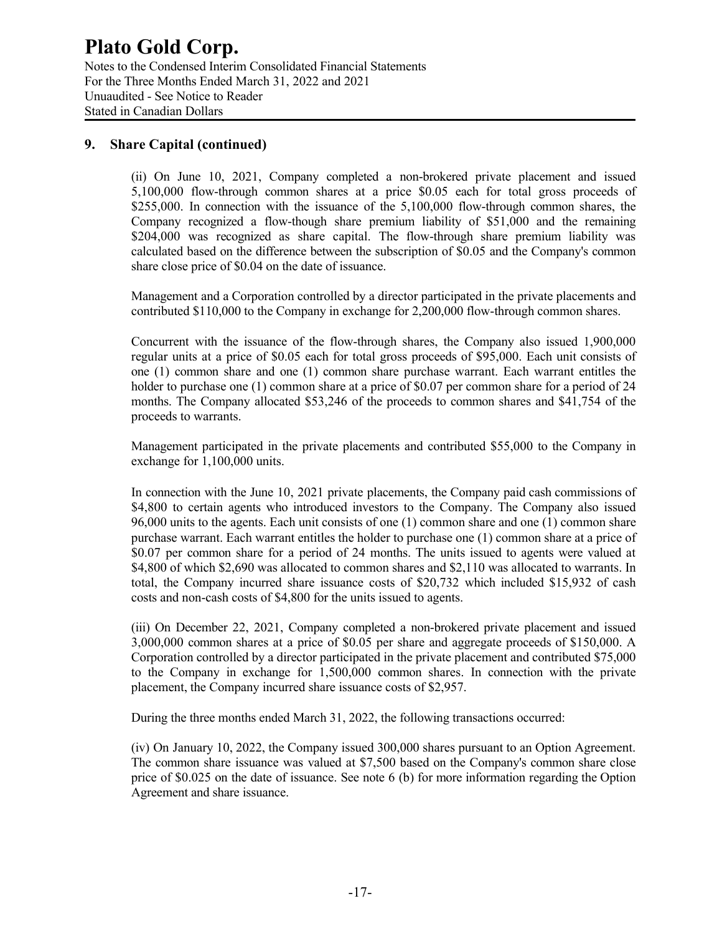Notes to the Condensed Interim Consolidated Financial Statements For the Three Months Ended March 31, 2022 and 2021 Unuaudited - See Notice to Reader Stated in Canadian Dollars

### **9. Share Capital (continued)**

(ii) On June 10, 2021, Company completed a non-brokered private placement and issued 5,100,000 flow-through common shares at a price \$0.05 each for total gross proceeds of \$255,000. In connection with the issuance of the 5,100,000 flow-through common shares, the Company recognized a flow-though share premium liability of \$51,000 and the remaining \$204,000 was recognized as share capital. The flow-through share premium liability was calculated based on the difference between the subscription of \$0.05 and the Company's common share close price of \$0.04 on the date of issuance.

Management and a Corporation controlled by a director participated in the private placements and contributed \$110,000 to the Company in exchange for 2,200,000 flow-through common shares.

Concurrent with the issuance of the flow-through shares, the Company also issued 1,900,000 regular units at a price of \$0.05 each for total gross proceeds of \$95,000. Each unit consists of one (1) common share and one (1) common share purchase warrant. Each warrant entitles the holder to purchase one (1) common share at a price of \$0.07 per common share for a period of 24 months. The Company allocated \$53,246 of the proceeds to common shares and \$41,754 of the proceeds to warrants.

Management participated in the private placements and contributed \$55,000 to the Company in exchange for 1,100,000 units.

In connection with the June 10, 2021 private placements, the Company paid cash commissions of \$4,800 to certain agents who introduced investors to the Company. The Company also issued 96,000 units to the agents. Each unit consists of one (1) common share and one (1) common share purchase warrant. Each warrant entitles the holder to purchase one (1) common share at a price of \$0.07 per common share for a period of 24 months. The units issued to agents were valued at \$4,800 of which \$2,690 was allocated to common shares and \$2,110 was allocated to warrants. In total, the Company incurred share issuance costs of \$20,732 which included \$15,932 of cash costs and non-cash costs of \$4,800 for the units issued to agents.

(iii) On December 22, 2021, Company completed a non-brokered private placement and issued 3,000,000 common shares at a price of \$0.05 per share and aggregate proceeds of \$150,000. A Corporation controlled by a director participated in the private placement and contributed \$75,000 to the Company in exchange for 1,500,000 common shares. In connection with the private placement, the Company incurred share issuance costs of \$2,957.

During the three months ended March 31, 2022, the following transactions occurred:

(iv) On January 10, 2022, the Company issued 300,000 shares pursuant to an Option Agreement. The common share issuance was valued at \$7,500 based on the Company's common share close price of \$0.025 on the date of issuance. See note 6 (b) for more information regarding the Option Agreement and share issuance.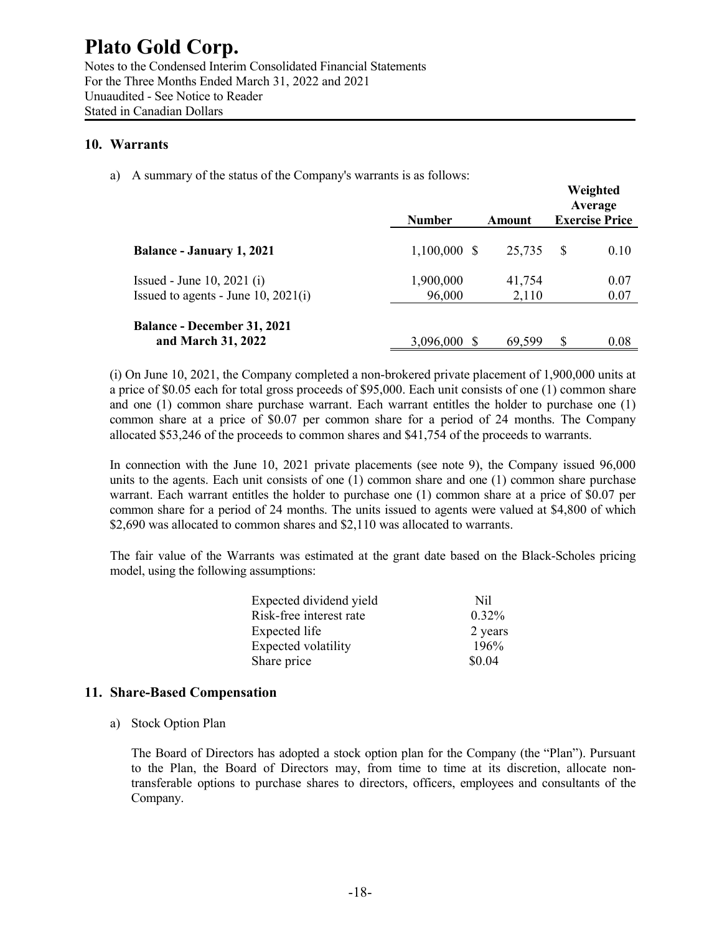Notes to the Condensed Interim Consolidated Financial Statements For the Three Months Ended March 31, 2022 and 2021 Unuaudited - See Notice to Reader Stated in Canadian Dollars

### **10. Warrants**

a) A summary of the status of the Company's warrants is as follows:

|                                                                          | <b>Number</b>       | Amount          | Weighted<br>Average<br><b>Exercise Price</b> |
|--------------------------------------------------------------------------|---------------------|-----------------|----------------------------------------------|
| <b>Balance - January 1, 2021</b>                                         | $1,100,000$ \$      | 25,735          | -S<br>0.10                                   |
| Issued - June 10, 2021 $(i)$<br>Issued to agents - June $10$ , $2021(i)$ | 1,900,000<br>96,000 | 41,754<br>2,110 | 0.07<br>0.07                                 |
| <b>Balance - December 31, 2021</b><br>and March 31, 2022                 | 3,096,000 \$        | 69,599          | \$<br>0.08                                   |

(i) On June 10, 2021, the Company completed a non-brokered private placement of 1,900,000 units at a price of \$0.05 each for total gross proceeds of \$95,000. Each unit consists of one (1) common share and one (1) common share purchase warrant. Each warrant entitles the holder to purchase one (1) common share at a price of \$0.07 per common share for a period of 24 months. The Company allocated \$53,246 of the proceeds to common shares and \$41,754 of the proceeds to warrants.

In connection with the June 10, 2021 private placements (see note 9), the Company issued 96,000 units to the agents. Each unit consists of one (1) common share and one (1) common share purchase warrant. Each warrant entitles the holder to purchase one (1) common share at a price of \$0.07 per common share for a period of 24 months. The units issued to agents were valued at \$4,800 of which \$2,690 was allocated to common shares and \$2,110 was allocated to warrants.

The fair value of the Warrants was estimated at the grant date based on the Black-Scholes pricing model, using the following assumptions:

| Expected dividend yield | Nil      |
|-------------------------|----------|
| Risk-free interest rate | $0.32\%$ |
| Expected life           | 2 years  |
| Expected volatility     | 196%     |
| Share price             | \$0.04   |

### **11. Share-Based Compensation**

a) Stock Option Plan

The Board of Directors has adopted a stock option plan for the Company (the "Plan"). Pursuant to the Plan, the Board of Directors may, from time to time at its discretion, allocate nontransferable options to purchase shares to directors, officers, employees and consultants of the Company.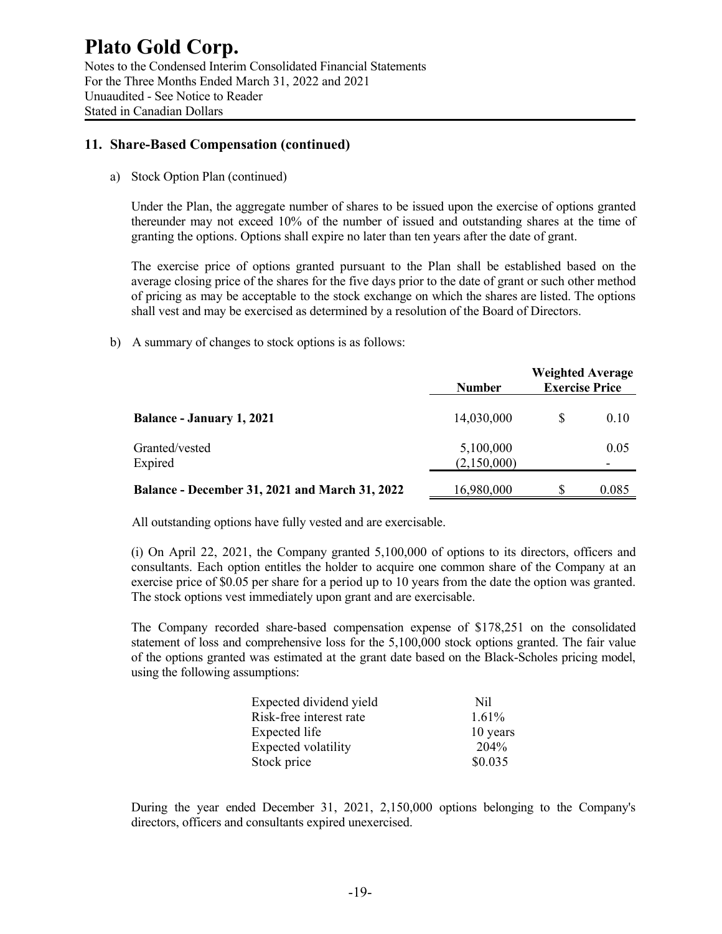Notes to the Condensed Interim Consolidated Financial Statements For the Three Months Ended March 31, 2022 and 2021 Unuaudited - See Notice to Reader Stated in Canadian Dollars

### **11. Share-Based Compensation (continued)**

a) Stock Option Plan (continued)

Under the Plan, the aggregate number of shares to be issued upon the exercise of options granted thereunder may not exceed 10% of the number of issued and outstanding shares at the time of granting the options. Options shall expire no later than ten years after the date of grant.

The exercise price of options granted pursuant to the Plan shall be established based on the average closing price of the shares for the five days prior to the date of grant or such other method of pricing as may be acceptable to the stock exchange on which the shares are listed. The options shall vest and may be exercised as determined by a resolution of the Board of Directors.

b) A summary of changes to stock options is as follows:

|                                                       | <b>Number</b> | <b>Weighted Average</b><br><b>Exercise Price</b> |                          |  |
|-------------------------------------------------------|---------------|--------------------------------------------------|--------------------------|--|
| <b>Balance - January 1, 2021</b>                      | 14,030,000    | S                                                | 0.10                     |  |
| Granted/vested                                        | 5,100,000     |                                                  | 0.05                     |  |
| Expired                                               | (2,150,000)   |                                                  | $\overline{\phantom{a}}$ |  |
| <b>Balance - December 31, 2021 and March 31, 2022</b> | 16,980,000    | S                                                | 0.085                    |  |

All outstanding options have fully vested and are exercisable.

(i) On April 22, 2021, the Company granted 5,100,000 of options to its directors, officers and consultants. Each option entitles the holder to acquire one common share of the Company at an exercise price of \$0.05 per share for a period up to 10 years from the date the option was granted. The stock options vest immediately upon grant and are exercisable.

The Company recorded share-based compensation expense of \$178,251 on the consolidated statement of loss and comprehensive loss for the 5,100,000 stock options granted. The fair value of the options granted was estimated at the grant date based on the Black-Scholes pricing model, using the following assumptions:

| Expected dividend yield | Nil      |
|-------------------------|----------|
| Risk-free interest rate | $1.61\%$ |
| Expected life           | 10 years |
| Expected volatility     | 204%     |
| Stock price             | \$0.035  |

During the year ended December 31, 2021, 2,150,000 options belonging to the Company's directors, officers and consultants expired unexercised.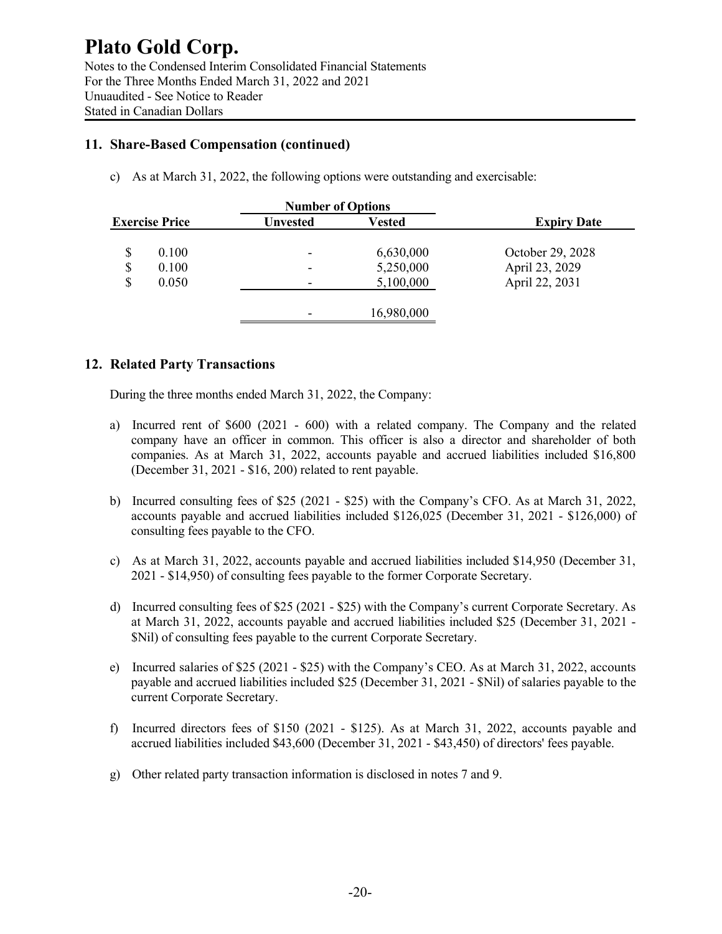### **11. Share-Based Compensation (continued)**

c) As at March 31, 2022, the following options were outstanding and exercisable:

|                       | <b>Number of Options</b> |            |                    |
|-----------------------|--------------------------|------------|--------------------|
| <b>Exercise Price</b> | Unvested                 | Vested     | <b>Expiry Date</b> |
| \$<br>0.100           | $\overline{\phantom{0}}$ | 6,630,000  | October 29, 2028   |
| \$<br>0.100           | $\overline{\phantom{0}}$ | 5,250,000  | April 23, 2029     |
| \$<br>0.050           | $\overline{\phantom{0}}$ | 5,100,000  | April 22, 2031     |
|                       | $\overline{\phantom{a}}$ | 16,980,000 |                    |

### **12. Related Party Transactions**

During the three months ended March 31, 2022, the Company:

- a) Incurred rent of \$600 (2021 600) with a related company. The Company and the related company have an officer in common. This officer is also a director and shareholder of both companies. As at March 31, 2022, accounts payable and accrued liabilities included \$16,800 (December 31, 2021 - \$16, 200) related to rent payable.
- b) Incurred consulting fees of \$25 (2021 \$25) with the Company's CFO. As at March 31, 2022, accounts payable and accrued liabilities included \$126,025 (December 31, 2021 - \$126,000) of consulting fees payable to the CFO.
- c) As at March 31, 2022, accounts payable and accrued liabilities included \$14,950 (December 31, 2021 - \$14,950) of consulting fees payable to the former Corporate Secretary.
- d) Incurred consulting fees of \$25 (2021 \$25) with the Company's current Corporate Secretary. As at March 31, 2022, accounts payable and accrued liabilities included \$25 (December 31, 2021 - \$Nil) of consulting fees payable to the current Corporate Secretary.
- e) Incurred salaries of \$25 (2021 \$25) with the Company's CEO. As at March 31, 2022, accounts payable and accrued liabilities included \$25 (December 31, 2021 - \$Nil) of salaries payable to the current Corporate Secretary.
- f) Incurred directors fees of \$150 (2021 \$125). As at March 31, 2022, accounts payable and accrued liabilities included \$43,600 (December 31, 2021 - \$43,450) of directors' fees payable.
- g) Other related party transaction information is disclosed in notes 7 and 9.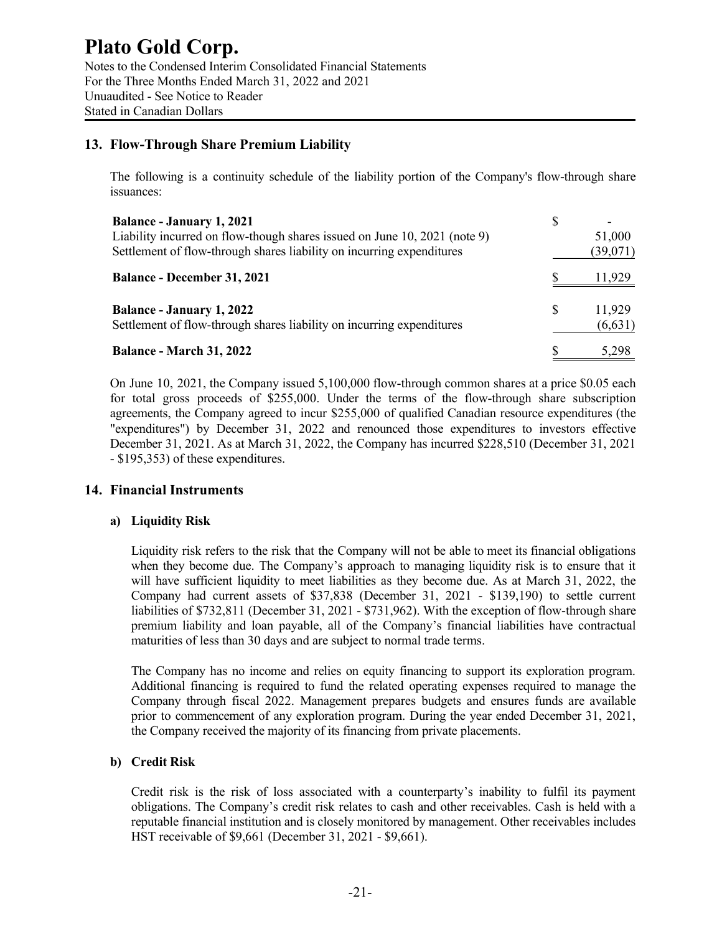### **Plato Gold Corp.** Notes to the Condensed Interim Consolidated Financial Statements For the Three Months Ended March 31, 2022 and 2021 Unuaudited - See Notice to Reader Stated in Canadian Dollars

### **13. Flow-Through Share Premium Liability**

The following is a continuity schedule of the liability portion of the Company's flow-through share issuances:

| <b>Balance - January 1, 2021</b><br>Liability incurred on flow-though shares issued on June 10, 2021 (note 9)<br>Settlement of flow-through shares liability on incurring expenditures | S | 51,000<br>(39,071) |
|----------------------------------------------------------------------------------------------------------------------------------------------------------------------------------------|---|--------------------|
| <b>Balance - December 31, 2021</b>                                                                                                                                                     |   | 11,929             |
| <b>Balance - January 1, 2022</b><br>Settlement of flow-through shares liability on incurring expenditures                                                                              | S | 11,929<br>(6,631)  |
| <b>Balance - March 31, 2022</b>                                                                                                                                                        |   | 5.298              |

On June 10, 2021, the Company issued 5,100,000 flow-through common shares at a price \$0.05 each for total gross proceeds of \$255,000. Under the terms of the flow-through share subscription agreements, the Company agreed to incur \$255,000 of qualified Canadian resource expenditures (the "expenditures") by December 31, 2022 and renounced those expenditures to investors effective December 31, 2021. As at March 31, 2022, the Company has incurred \$228,510 (December 31, 2021 - \$195,353) of these expenditures.

### **14. Financial Instruments**

### **a) Liquidity Risk**

Liquidity risk refers to the risk that the Company will not be able to meet its financial obligations when they become due. The Company's approach to managing liquidity risk is to ensure that it will have sufficient liquidity to meet liabilities as they become due. As at March 31, 2022, the Company had current assets of \$37,838 (December 31, 2021 - \$139,190) to settle current liabilities of \$732,811 (December 31, 2021 - \$731,962). With the exception of flow-through share premium liability and loan payable, all of the Company's financial liabilities have contractual maturities of less than 30 days and are subject to normal trade terms.

The Company has no income and relies on equity financing to support its exploration program. Additional financing is required to fund the related operating expenses required to manage the Company through fiscal 2022. Management prepares budgets and ensures funds are available prior to commencement of any exploration program. During the year ended December 31, 2021, the Company received the majority of its financing from private placements.

### **b) Credit Risk**

Credit risk is the risk of loss associated with a counterparty's inability to fulfil its payment obligations. The Company's credit risk relates to cash and other receivables. Cash is held with a reputable financial institution and is closely monitored by management. Other receivables includes HST receivable of \$9,661 (December 31, 2021 - \$9,661).